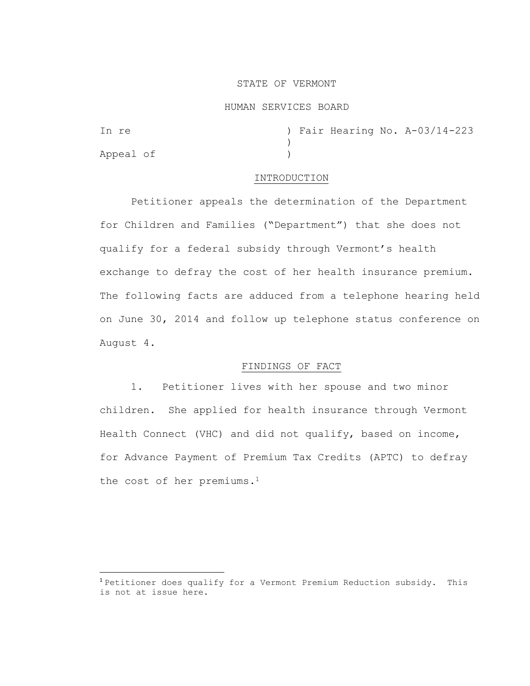## STATE OF VERMONT

#### HUMAN SERVICES BOARD

| In re     |  |  | ) Fair Hearing No. A-03/14-223 |
|-----------|--|--|--------------------------------|
|           |  |  |                                |
| Appeal of |  |  |                                |

### INTRODUCTION

Petitioner appeals the determination of the Department for Children and Families ("Department") that she does not qualify for a federal subsidy through Vermont's health exchange to defray the cost of her health insurance premium. The following facts are adduced from a telephone hearing held on June 30, 2014 and follow up telephone status conference on August 4.

# FINDINGS OF FACT

1. Petitioner lives with her spouse and two minor children. She applied for health insurance through Vermont Health Connect (VHC) and did not qualify, based on income, for Advance Payment of Premium Tax Credits (APTC) to defray the cost of her premiums.<sup>1</sup>

<sup>1</sup> Petitioner does qualify for a Vermont Premium Reduction subsidy. This is not at issue here.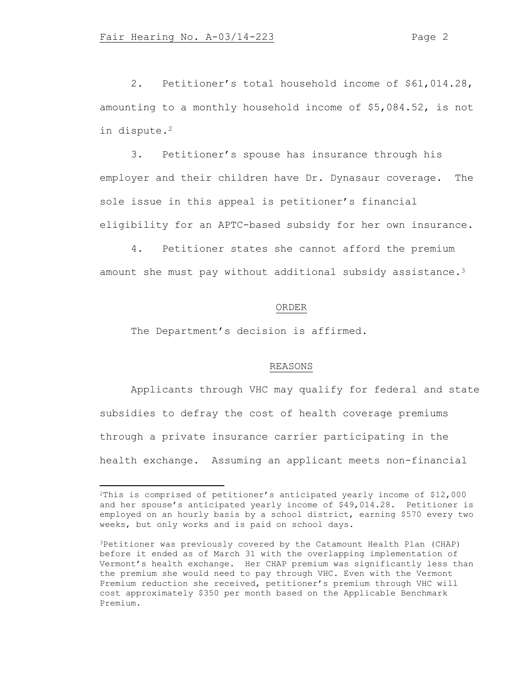2. Petitioner's total household income of \$61,014.28, amounting to a monthly household income of \$5,084.52, is not in dispute.<sup>2</sup>

3. Petitioner's spouse has insurance through his employer and their children have Dr. Dynasaur coverage. The sole issue in this appeal is petitioner's financial eligibility for an APTC-based subsidy for her own insurance.

4. Petitioner states she cannot afford the premium amount she must pay without additional subsidy assistance.<sup>3</sup>

### ORDER

The Department's decision is affirmed.

### REASONS

Applicants through VHC may qualify for federal and state subsidies to defray the cost of health coverage premiums through a private insurance carrier participating in the health exchange. Assuming an applicant meets non-financial

<sup>2</sup>This is comprised of petitioner's anticipated yearly income of \$12,000 and her spouse's anticipated yearly income of \$49,014.28. Petitioner is employed on an hourly basis by a school district, earning \$570 every two weeks, but only works and is paid on school days.

<sup>3</sup>Petitioner was previously covered by the Catamount Health Plan (CHAP) before it ended as of March 31 with the overlapping implementation of Vermont's health exchange. Her CHAP premium was significantly less than the premium she would need to pay through VHC. Even with the Vermont Premium reduction she received, petitioner's premium through VHC will cost approximately \$350 per month based on the Applicable Benchmark Premium.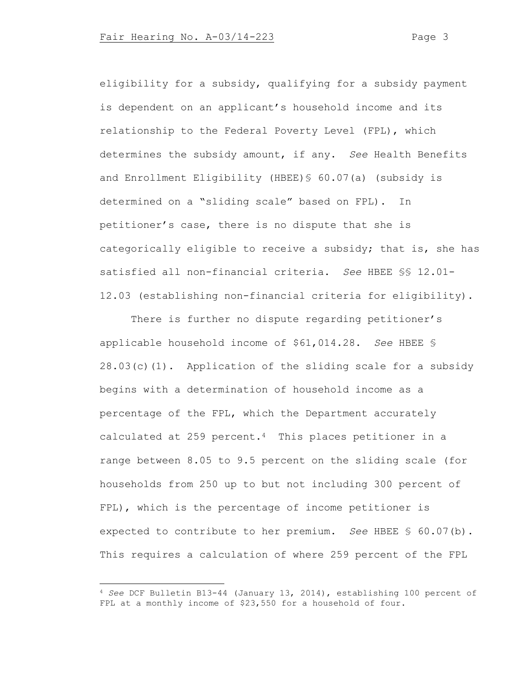eligibility for a subsidy, qualifying for a subsidy payment is dependent on an applicant's household income and its relationship to the Federal Poverty Level (FPL), which determines the subsidy amount, if any. *See* Health Benefits and Enrollment Eligibility (HBEE)§ 60.07(a) (subsidy is determined on a "sliding scale" based on FPL). In petitioner's case, there is no dispute that she is categorically eligible to receive a subsidy; that is, she has satisfied all non-financial criteria. *See* HBEE §§ 12.01- 12.03 (establishing non-financial criteria for eligibility).

There is further no dispute regarding petitioner's applicable household income of \$61,014.28. *See* HBEE § 28.03(c)(1). Application of the sliding scale for a subsidy begins with a determination of household income as a percentage of the FPL, which the Department accurately calculated at 259 percent.4 This places petitioner in a range between 8.05 to 9.5 percent on the sliding scale (for households from 250 up to but not including 300 percent of FPL), which is the percentage of income petitioner is expected to contribute to her premium. *See* HBEE § 60.07(b). This requires a calculation of where 259 percent of the FPL

<sup>4</sup> *See* DCF Bulletin B13-44 (January 13, 2014), establishing 100 percent of FPL at a monthly income of \$23,550 for a household of four.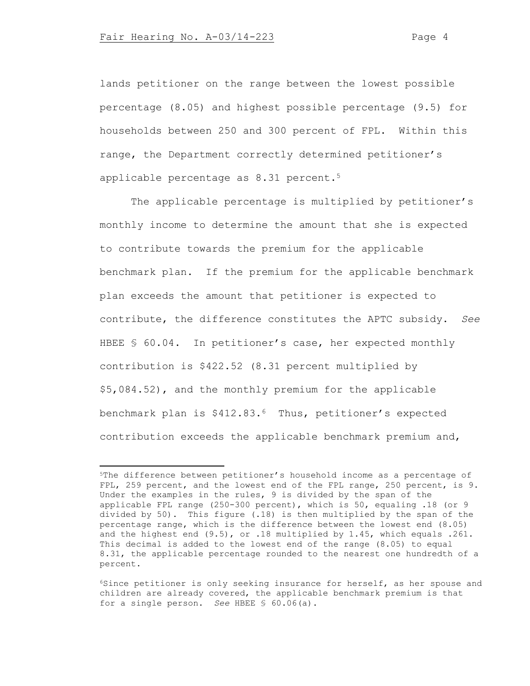lands petitioner on the range between the lowest possible percentage (8.05) and highest possible percentage (9.5) for households between 250 and 300 percent of FPL. Within this range, the Department correctly determined petitioner's applicable percentage as 8.31 percent.<sup>5</sup>

The applicable percentage is multiplied by petitioner's monthly income to determine the amount that she is expected to contribute towards the premium for the applicable benchmark plan. If the premium for the applicable benchmark plan exceeds the amount that petitioner is expected to contribute, the difference constitutes the APTC subsidy. *See* HBEE § 60.04. In petitioner's case, her expected monthly contribution is \$422.52 (8.31 percent multiplied by \$5,084.52), and the monthly premium for the applicable benchmark plan is \$412.83.<sup>6</sup> Thus, petitioner's expected contribution exceeds the applicable benchmark premium and,

<sup>5</sup>The difference between petitioner's household income as a percentage of FPL, 259 percent, and the lowest end of the FPL range, 250 percent, is 9. Under the examples in the rules, 9 is divided by the span of the applicable FPL range (250-300 percent), which is 50, equaling .18 (or 9 divided by 50). This figure (.18) is then multiplied by the span of the percentage range, which is the difference between the lowest end (8.05) and the highest end (9.5), or .18 multiplied by 1.45, which equals .261. This decimal is added to the lowest end of the range (8.05) to equal 8.31, the applicable percentage rounded to the nearest one hundredth of a percent.

<sup>6</sup>Since petitioner is only seeking insurance for herself, as her spouse and children are already covered, the applicable benchmark premium is that for a single person. *See* HBEE § 60.06(a).